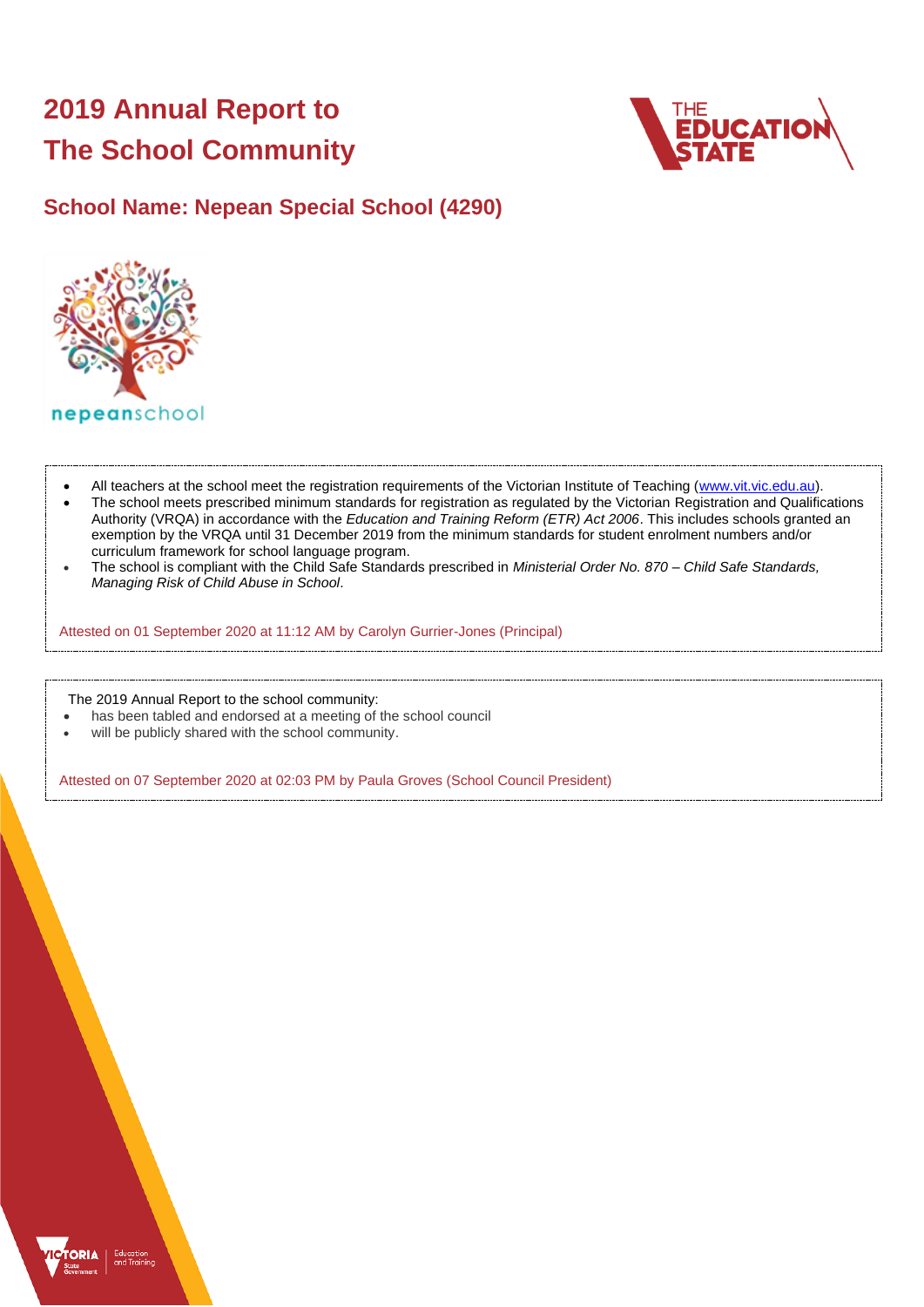# **2019 Annual Report to The School Community**



# **School Name: Nepean Special School (4290)**



- All teachers at the school meet the registration requirements of the Victorian Institute of Teaching [\(www.vit.vic.edu.au\)](https://www.vit.vic.edu.au/).
- The school meets prescribed minimum standards for registration as regulated by the Victorian Registration and Qualifications Authority (VRQA) in accordance with the *Education and Training Reform (ETR) Act 2006*. This includes schools granted an exemption by the VRQA until 31 December 2019 from the minimum standards for student enrolment numbers and/or curriculum framework for school language program.
- The school is compliant with the Child Safe Standards prescribed in *Ministerial Order No. 870 – Child Safe Standards, Managing Risk of Child Abuse in School*.

Attested on 01 September 2020 at 11:12 AM by Carolyn Gurrier-Jones (Principal)

The 2019 Annual Report to the school community:

- has been tabled and endorsed at a meeting of the school council
- will be publicly shared with the school community.

Attested on 07 September 2020 at 02:03 PM by Paula Groves (School Council President)

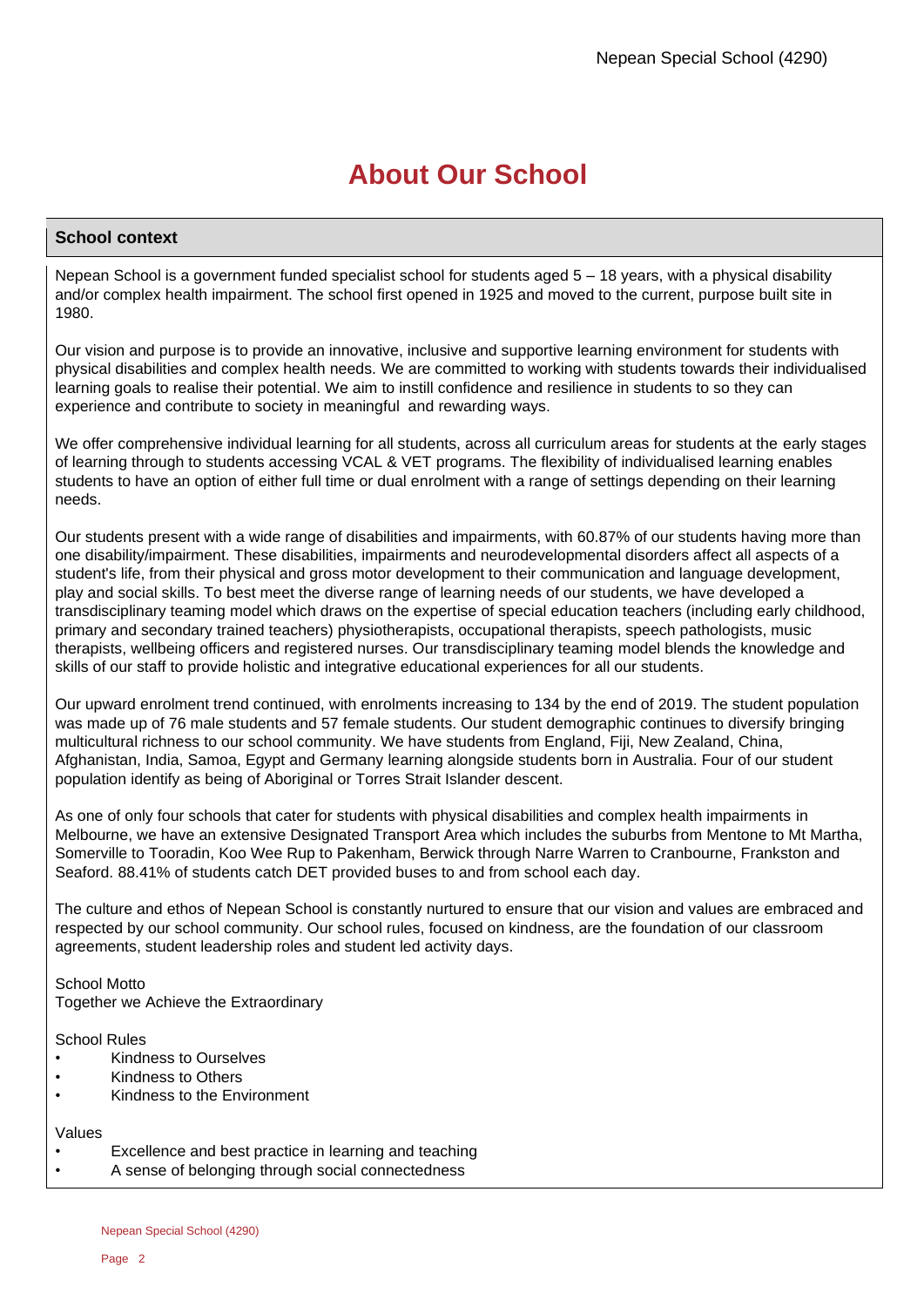# **About Our School**

### **School context**

Nepean School is a government funded specialist school for students aged 5 – 18 years, with a physical disability and/or complex health impairment. The school first opened in 1925 and moved to the current, purpose built site in 1980.

Our vision and purpose is to provide an innovative, inclusive and supportive learning environment for students with physical disabilities and complex health needs. We are committed to working with students towards their individualised learning goals to realise their potential. We aim to instill confidence and resilience in students to so they can experience and contribute to society in meaningful and rewarding ways.

We offer comprehensive individual learning for all students, across all curriculum areas for students at the early stages of learning through to students accessing VCAL & VET programs. The flexibility of individualised learning enables students to have an option of either full time or dual enrolment with a range of settings depending on their learning needs.

Our students present with a wide range of disabilities and impairments, with 60.87% of our students having more than one disability/impairment. These disabilities, impairments and neurodevelopmental disorders affect all aspects of a student's life, from their physical and gross motor development to their communication and language development, play and social skills. To best meet the diverse range of learning needs of our students, we have developed a transdisciplinary teaming model which draws on the expertise of special education teachers (including early childhood, primary and secondary trained teachers) physiotherapists, occupational therapists, speech pathologists, music therapists, wellbeing officers and registered nurses. Our transdisciplinary teaming model blends the knowledge and skills of our staff to provide holistic and integrative educational experiences for all our students.

Our upward enrolment trend continued, with enrolments increasing to 134 by the end of 2019. The student population was made up of 76 male students and 57 female students. Our student demographic continues to diversify bringing multicultural richness to our school community. We have students from England, Fiji, New Zealand, China, Afghanistan, India, Samoa, Egypt and Germany learning alongside students born in Australia. Four of our student population identify as being of Aboriginal or Torres Strait Islander descent.

As one of only four schools that cater for students with physical disabilities and complex health impairments in Melbourne, we have an extensive Designated Transport Area which includes the suburbs from Mentone to Mt Martha, Somerville to Tooradin, Koo Wee Rup to Pakenham, Berwick through Narre Warren to Cranbourne, Frankston and Seaford. 88.41% of students catch DET provided buses to and from school each day.

The culture and ethos of Nepean School is constantly nurtured to ensure that our vision and values are embraced and respected by our school community. Our school rules, focused on kindness, are the foundation of our classroom agreements, student leadership roles and student led activity days.

School Motto Together we Achieve the Extraordinary

School Rules

- Kindness to Ourselves
- Kindness to Others
- Kindness to the Environment

# Values

- Excellence and best practice in learning and teaching
- A sense of belonging through social connectedness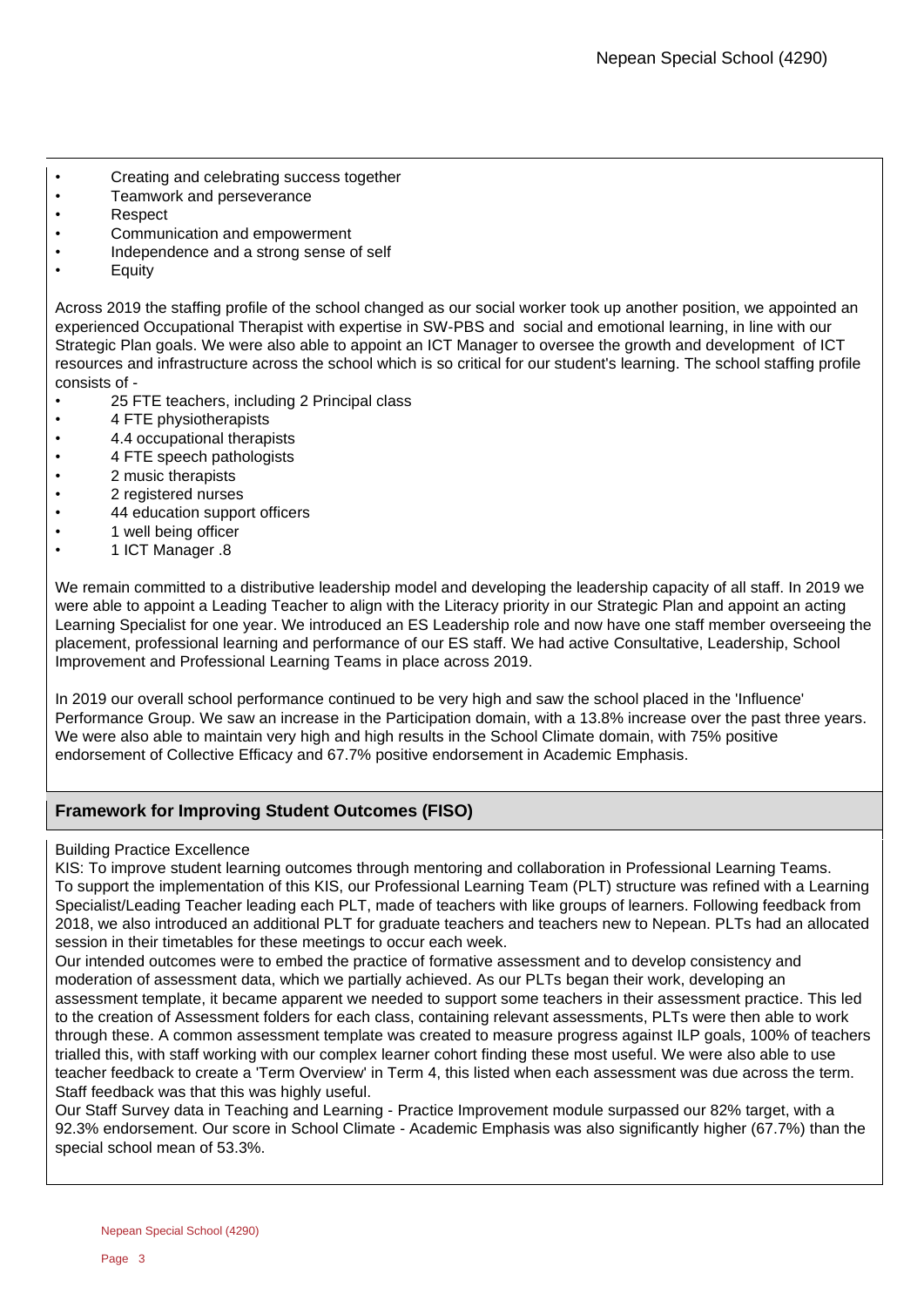- Creating and celebrating success together
- Teamwork and perseverance
- Respect
- Communication and empowerment
- Independence and a strong sense of self
- Equity

Across 2019 the staffing profile of the school changed as our social worker took up another position, we appointed an experienced Occupational Therapist with expertise in SW-PBS and social and emotional learning, in line with our Strategic Plan goals. We were also able to appoint an ICT Manager to oversee the growth and development of ICT resources and infrastructure across the school which is so critical for our student's learning. The school staffing profile consists of -

- 25 FTE teachers, including 2 Principal class
- 4 FTE physiotherapists
- 4.4 occupational therapists
- 4 FTE speech pathologists
- 2 music therapists
- 2 registered nurses
- 44 education support officers
- 1 well being officer
- 1 ICT Manager .8

We remain committed to a distributive leadership model and developing the leadership capacity of all staff. In 2019 we were able to appoint a Leading Teacher to align with the Literacy priority in our Strategic Plan and appoint an acting Learning Specialist for one year. We introduced an ES Leadership role and now have one staff member overseeing the placement, professional learning and performance of our ES staff. We had active Consultative, Leadership, School Improvement and Professional Learning Teams in place across 2019.

In 2019 our overall school performance continued to be very high and saw the school placed in the 'Influence' Performance Group. We saw an increase in the Participation domain, with a 13.8% increase over the past three years. We were also able to maintain very high and high results in the School Climate domain, with 75% positive endorsement of Collective Efficacy and 67.7% positive endorsement in Academic Emphasis.

# **Framework for Improving Student Outcomes (FISO)**

### Building Practice Excellence

KIS: To improve student learning outcomes through mentoring and collaboration in Professional Learning Teams. To support the implementation of this KIS, our Professional Learning Team (PLT) structure was refined with a Learning Specialist/Leading Teacher leading each PLT, made of teachers with like groups of learners. Following feedback from 2018, we also introduced an additional PLT for graduate teachers and teachers new to Nepean. PLTs had an allocated session in their timetables for these meetings to occur each week.

Our intended outcomes were to embed the practice of formative assessment and to develop consistency and moderation of assessment data, which we partially achieved. As our PLTs began their work, developing an assessment template, it became apparent we needed to support some teachers in their assessment practice. This led to the creation of Assessment folders for each class, containing relevant assessments, PLTs were then able to work through these. A common assessment template was created to measure progress against ILP goals, 100% of teachers trialled this, with staff working with our complex learner cohort finding these most useful. We were also able to use teacher feedback to create a 'Term Overview' in Term 4, this listed when each assessment was due across the term. Staff feedback was that this was highly useful.

Our Staff Survey data in Teaching and Learning - Practice Improvement module surpassed our 82% target, with a 92.3% endorsement. Our score in School Climate - Academic Emphasis was also significantly higher (67.7%) than the special school mean of 53.3%.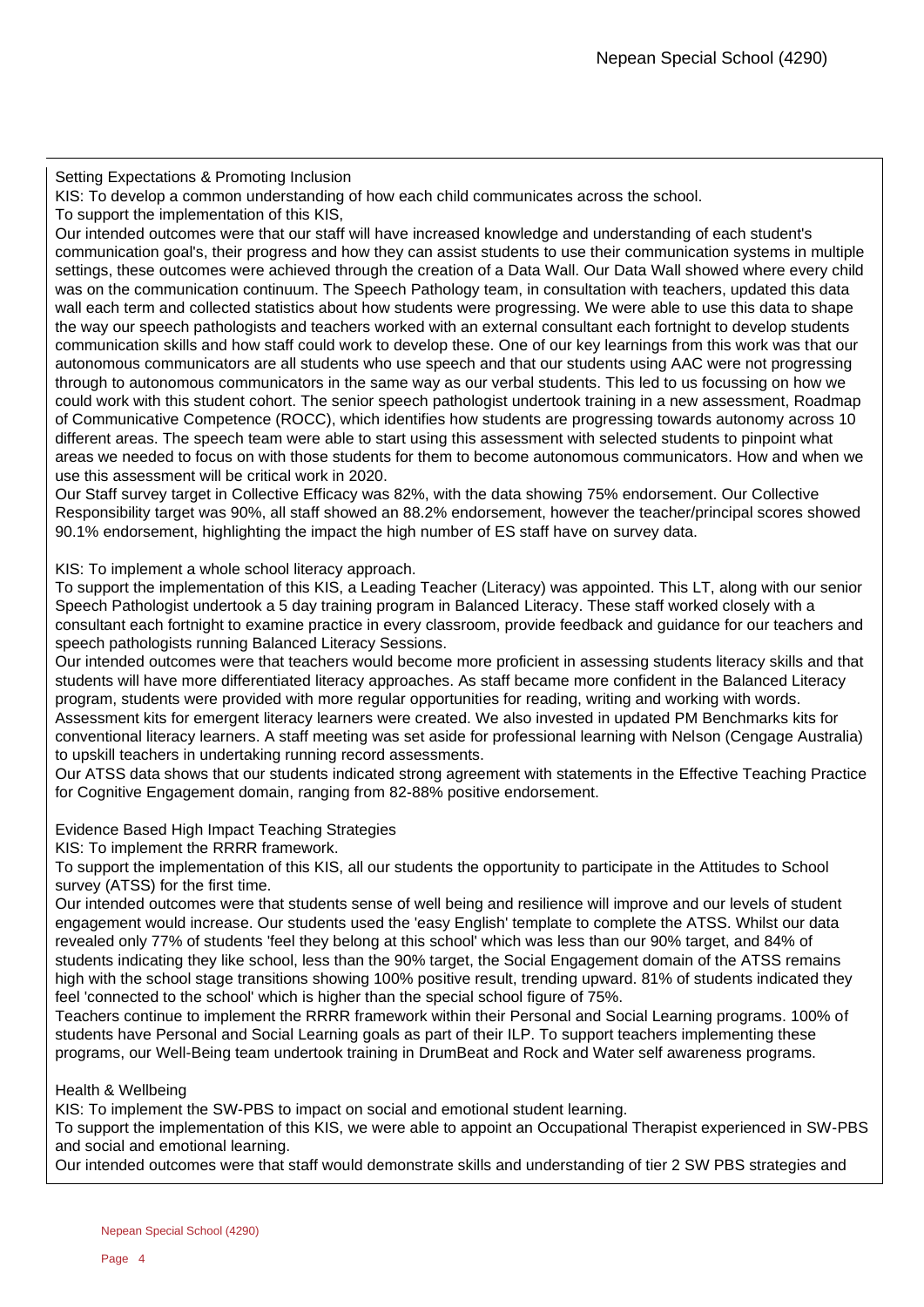Setting Expectations & Promoting Inclusion

KIS: To develop a common understanding of how each child communicates across the school.

To support the implementation of this KIS,

Our intended outcomes were that our staff will have increased knowledge and understanding of each student's communication goal's, their progress and how they can assist students to use their communication systems in multiple settings, these outcomes were achieved through the creation of a Data Wall. Our Data Wall showed where every child was on the communication continuum. The Speech Pathology team, in consultation with teachers, updated this data wall each term and collected statistics about how students were progressing. We were able to use this data to shape the way our speech pathologists and teachers worked with an external consultant each fortnight to develop students communication skills and how staff could work to develop these. One of our key learnings from this work was that our autonomous communicators are all students who use speech and that our students using AAC were not progressing through to autonomous communicators in the same way as our verbal students. This led to us focussing on how we could work with this student cohort. The senior speech pathologist undertook training in a new assessment, Roadmap of Communicative Competence (ROCC), which identifies how students are progressing towards autonomy across 10 different areas. The speech team were able to start using this assessment with selected students to pinpoint what areas we needed to focus on with those students for them to become autonomous communicators. How and when we use this assessment will be critical work in 2020.

Our Staff survey target in Collective Efficacy was 82%, with the data showing 75% endorsement. Our Collective Responsibility target was 90%, all staff showed an 88.2% endorsement, however the teacher/principal scores showed 90.1% endorsement, highlighting the impact the high number of ES staff have on survey data.

KIS: To implement a whole school literacy approach.

To support the implementation of this KIS, a Leading Teacher (Literacy) was appointed. This LT, along with our senior Speech Pathologist undertook a 5 day training program in Balanced Literacy. These staff worked closely with a consultant each fortnight to examine practice in every classroom, provide feedback and guidance for our teachers and speech pathologists running Balanced Literacy Sessions.

Our intended outcomes were that teachers would become more proficient in assessing students literacy skills and that students will have more differentiated literacy approaches. As staff became more confident in the Balanced Literacy program, students were provided with more regular opportunities for reading, writing and working with words. Assessment kits for emergent literacy learners were created. We also invested in updated PM Benchmarks kits for conventional literacy learners. A staff meeting was set aside for professional learning with Nelson (Cengage Australia) to upskill teachers in undertaking running record assessments.

Our ATSS data shows that our students indicated strong agreement with statements in the Effective Teaching Practice for Cognitive Engagement domain, ranging from 82-88% positive endorsement.

Evidence Based High Impact Teaching Strategies

KIS: To implement the RRRR framework.

To support the implementation of this KIS, all our students the opportunity to participate in the Attitudes to School survey (ATSS) for the first time.

Our intended outcomes were that students sense of well being and resilience will improve and our levels of student engagement would increase. Our students used the 'easy English' template to complete the ATSS. Whilst our data revealed only 77% of students 'feel they belong at this school' which was less than our 90% target, and 84% of students indicating they like school, less than the 90% target, the Social Engagement domain of the ATSS remains high with the school stage transitions showing 100% positive result, trending upward. 81% of students indicated they feel 'connected to the school' which is higher than the special school figure of 75%.

Teachers continue to implement the RRRR framework within their Personal and Social Learning programs. 100% of students have Personal and Social Learning goals as part of their ILP. To support teachers implementing these programs, our Well-Being team undertook training in DrumBeat and Rock and Water self awareness programs.

Health & Wellbeing

KIS: To implement the SW-PBS to impact on social and emotional student learning.

To support the implementation of this KIS, we were able to appoint an Occupational Therapist experienced in SW-PBS and social and emotional learning.

Our intended outcomes were that staff would demonstrate skills and understanding of tier 2 SW PBS strategies and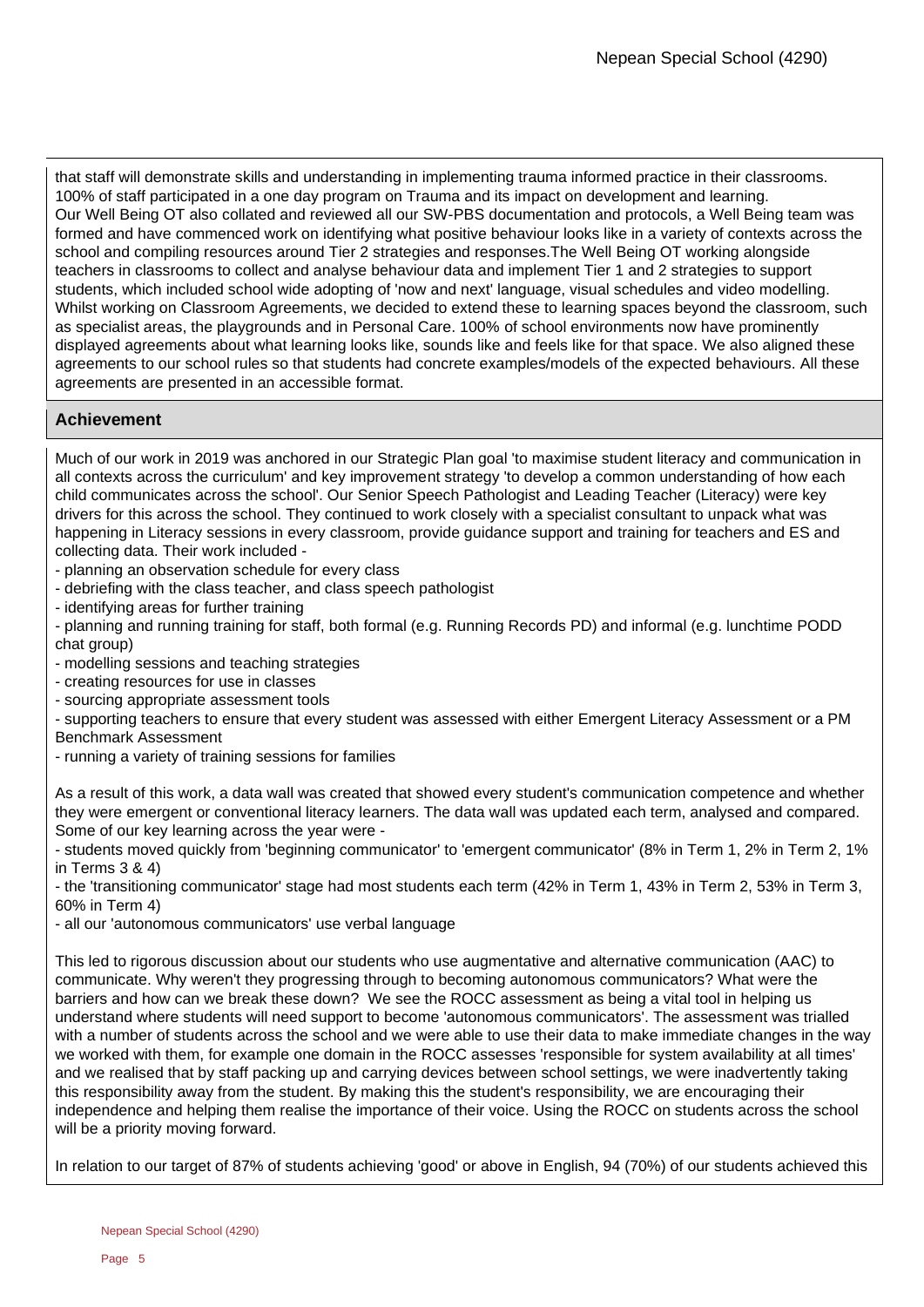that staff will demonstrate skills and understanding in implementing trauma informed practice in their classrooms. 100% of staff participated in a one day program on Trauma and its impact on development and learning. Our Well Being OT also collated and reviewed all our SW-PBS documentation and protocols, a Well Being team was formed and have commenced work on identifying what positive behaviour looks like in a variety of contexts across the school and compiling resources around Tier 2 strategies and responses.The Well Being OT working alongside teachers in classrooms to collect and analyse behaviour data and implement Tier 1 and 2 strategies to support students, which included school wide adopting of 'now and next' language, visual schedules and video modelling. Whilst working on Classroom Agreements, we decided to extend these to learning spaces beyond the classroom, such as specialist areas, the playgrounds and in Personal Care. 100% of school environments now have prominently displayed agreements about what learning looks like, sounds like and feels like for that space. We also aligned these agreements to our school rules so that students had concrete examples/models of the expected behaviours. All these agreements are presented in an accessible format.

# **Achievement**

Much of our work in 2019 was anchored in our Strategic Plan goal 'to maximise student literacy and communication in all contexts across the curriculum' and key improvement strategy 'to develop a common understanding of how each child communicates across the school'. Our Senior Speech Pathologist and Leading Teacher (Literacy) were key drivers for this across the school. They continued to work closely with a specialist consultant to unpack what was happening in Literacy sessions in every classroom, provide guidance support and training for teachers and ES and collecting data. Their work included -

- planning an observation schedule for every class

- debriefing with the class teacher, and class speech pathologist

- identifying areas for further training

- planning and running training for staff, both formal (e.g. Running Records PD) and informal (e.g. lunchtime PODD chat group)

- modelling sessions and teaching strategies

- creating resources for use in classes

- sourcing appropriate assessment tools

- supporting teachers to ensure that every student was assessed with either Emergent Literacy Assessment or a PM Benchmark Assessment

- running a variety of training sessions for families

As a result of this work, a data wall was created that showed every student's communication competence and whether they were emergent or conventional literacy learners. The data wall was updated each term, analysed and compared. Some of our key learning across the year were -

- students moved quickly from 'beginning communicator' to 'emergent communicator' (8% in Term 1, 2% in Term 2, 1% in Terms 3 & 4)

- the 'transitioning communicator' stage had most students each term (42% in Term 1, 43% in Term 2, 53% in Term 3, 60% in Term 4)

- all our 'autonomous communicators' use verbal language

This led to rigorous discussion about our students who use augmentative and alternative communication (AAC) to communicate. Why weren't they progressing through to becoming autonomous communicators? What were the barriers and how can we break these down? We see the ROCC assessment as being a vital tool in helping us understand where students will need support to become 'autonomous communicators'. The assessment was trialled with a number of students across the school and we were able to use their data to make immediate changes in the way we worked with them, for example one domain in the ROCC assesses 'responsible for system availability at all times' and we realised that by staff packing up and carrying devices between school settings, we were inadvertently taking this responsibility away from the student. By making this the student's responsibility, we are encouraging their independence and helping them realise the importance of their voice. Using the ROCC on students across the school will be a priority moving forward.

In relation to our target of 87% of students achieving 'good' or above in English, 94 (70%) of our students achieved this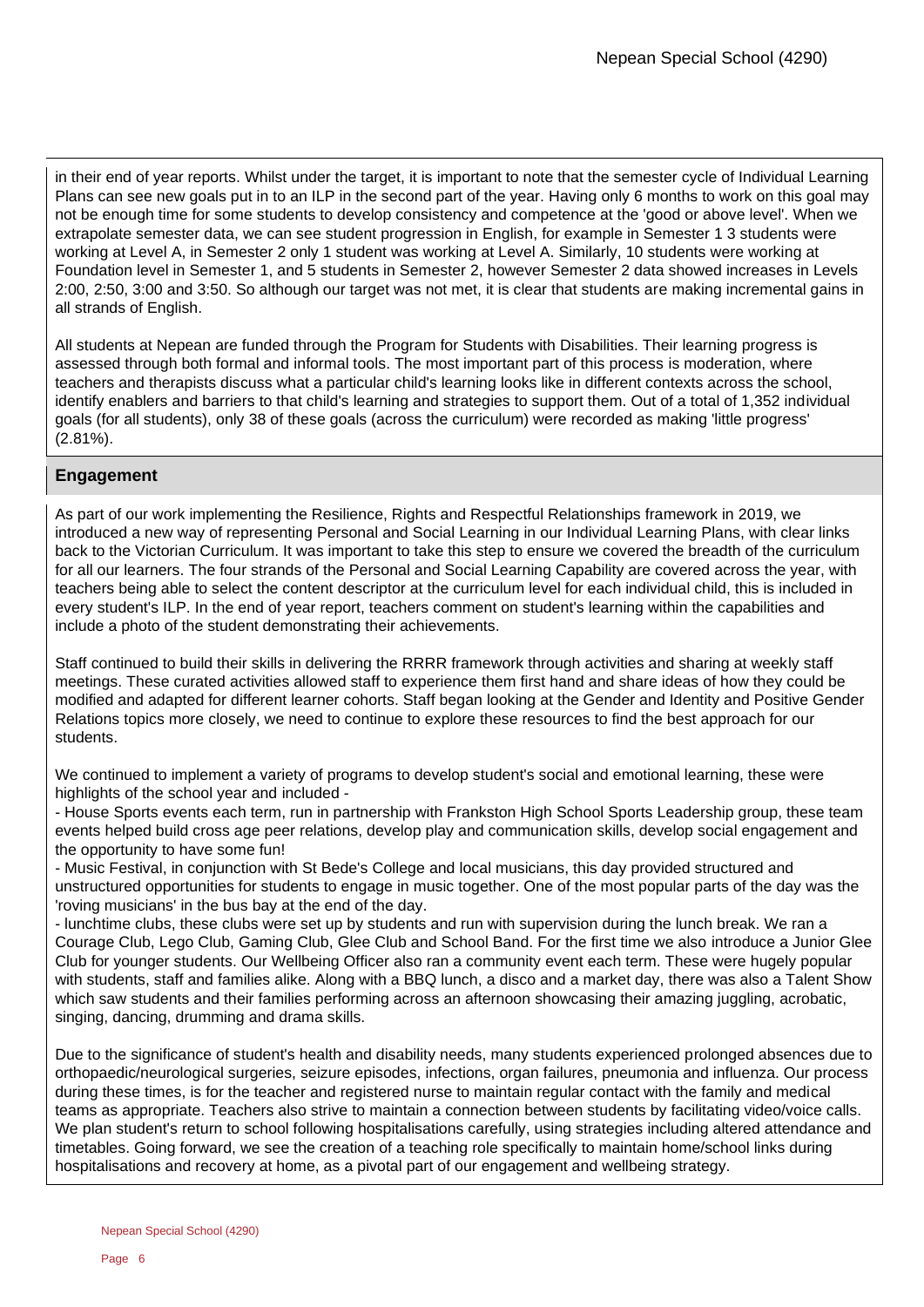in their end of year reports. Whilst under the target, it is important to note that the semester cycle of Individual Learning Plans can see new goals put in to an ILP in the second part of the year. Having only 6 months to work on this goal may not be enough time for some students to develop consistency and competence at the 'good or above level'. When we extrapolate semester data, we can see student progression in English, for example in Semester 1 3 students were working at Level A, in Semester 2 only 1 student was working at Level A. Similarly, 10 students were working at Foundation level in Semester 1, and 5 students in Semester 2, however Semester 2 data showed increases in Levels 2:00, 2:50, 3:00 and 3:50. So although our target was not met, it is clear that students are making incremental gains in all strands of English.

All students at Nepean are funded through the Program for Students with Disabilities. Their learning progress is assessed through both formal and informal tools. The most important part of this process is moderation, where teachers and therapists discuss what a particular child's learning looks like in different contexts across the school, identify enablers and barriers to that child's learning and strategies to support them. Out of a total of 1,352 individual goals (for all students), only 38 of these goals (across the curriculum) were recorded as making 'little progress' (2.81%).

# **Engagement**

As part of our work implementing the Resilience, Rights and Respectful Relationships framework in 2019, we introduced a new way of representing Personal and Social Learning in our Individual Learning Plans, with clear links back to the Victorian Curriculum. It was important to take this step to ensure we covered the breadth of the curriculum for all our learners. The four strands of the Personal and Social Learning Capability are covered across the year, with teachers being able to select the content descriptor at the curriculum level for each individual child, this is included in every student's ILP. In the end of year report, teachers comment on student's learning within the capabilities and include a photo of the student demonstrating their achievements.

Staff continued to build their skills in delivering the RRRR framework through activities and sharing at weekly staff meetings. These curated activities allowed staff to experience them first hand and share ideas of how they could be modified and adapted for different learner cohorts. Staff began looking at the Gender and Identity and Positive Gender Relations topics more closely, we need to continue to explore these resources to find the best approach for our students.

We continued to implement a variety of programs to develop student's social and emotional learning, these were highlights of the school year and included -

- House Sports events each term, run in partnership with Frankston High School Sports Leadership group, these team events helped build cross age peer relations, develop play and communication skills, develop social engagement and the opportunity to have some fun!

- Music Festival, in conjunction with St Bede's College and local musicians, this day provided structured and unstructured opportunities for students to engage in music together. One of the most popular parts of the day was the 'roving musicians' in the bus bay at the end of the day.

- lunchtime clubs, these clubs were set up by students and run with supervision during the lunch break. We ran a Courage Club, Lego Club, Gaming Club, Glee Club and School Band. For the first time we also introduce a Junior Glee Club for younger students. Our Wellbeing Officer also ran a community event each term. These were hugely popular with students, staff and families alike. Along with a BBQ lunch, a disco and a market day, there was also a Talent Show which saw students and their families performing across an afternoon showcasing their amazing juggling, acrobatic, singing, dancing, drumming and drama skills.

Due to the significance of student's health and disability needs, many students experienced prolonged absences due to orthopaedic/neurological surgeries, seizure episodes, infections, organ failures, pneumonia and influenza. Our process during these times, is for the teacher and registered nurse to maintain regular contact with the family and medical teams as appropriate. Teachers also strive to maintain a connection between students by facilitating video/voice calls. We plan student's return to school following hospitalisations carefully, using strategies including altered attendance and timetables. Going forward, we see the creation of a teaching role specifically to maintain home/school links during hospitalisations and recovery at home, as a pivotal part of our engagement and wellbeing strategy.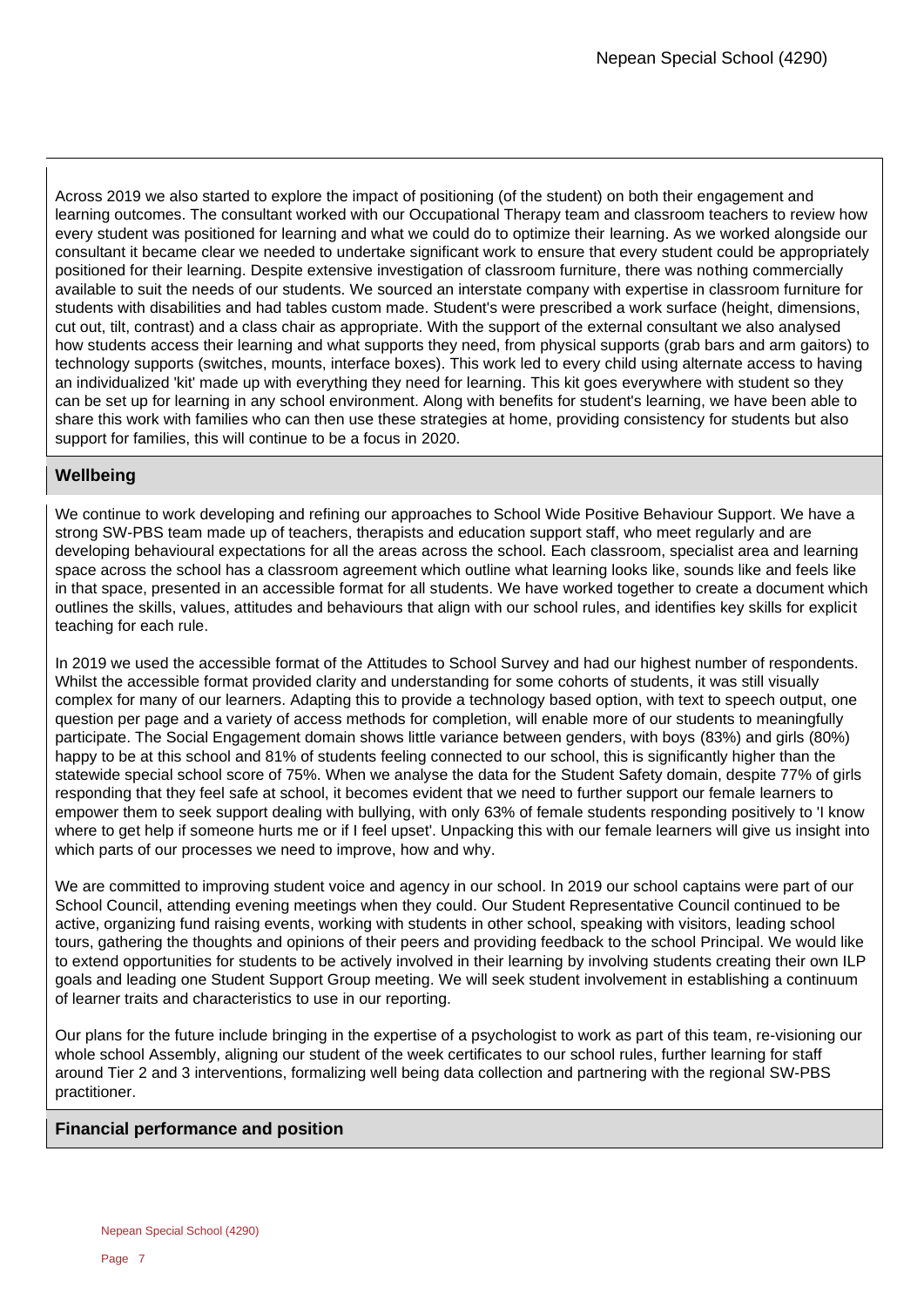Across 2019 we also started to explore the impact of positioning (of the student) on both their engagement and learning outcomes. The consultant worked with our Occupational Therapy team and classroom teachers to review how every student was positioned for learning and what we could do to optimize their learning. As we worked alongside our consultant it became clear we needed to undertake significant work to ensure that every student could be appropriately positioned for their learning. Despite extensive investigation of classroom furniture, there was nothing commercially available to suit the needs of our students. We sourced an interstate company with expertise in classroom furniture for students with disabilities and had tables custom made. Student's were prescribed a work surface (height, dimensions, cut out, tilt, contrast) and a class chair as appropriate. With the support of the external consultant we also analysed how students access their learning and what supports they need, from physical supports (grab bars and arm gaitors) to technology supports (switches, mounts, interface boxes). This work led to every child using alternate access to having an individualized 'kit' made up with everything they need for learning. This kit goes everywhere with student so they can be set up for learning in any school environment. Along with benefits for student's learning, we have been able to share this work with families who can then use these strategies at home, providing consistency for students but also support for families, this will continue to be a focus in 2020.

# **Wellbeing**

We continue to work developing and refining our approaches to School Wide Positive Behaviour Support. We have a strong SW-PBS team made up of teachers, therapists and education support staff, who meet regularly and are developing behavioural expectations for all the areas across the school. Each classroom, specialist area and learning space across the school has a classroom agreement which outline what learning looks like, sounds like and feels like in that space, presented in an accessible format for all students. We have worked together to create a document which outlines the skills, values, attitudes and behaviours that align with our school rules, and identifies key skills for explicit teaching for each rule.

In 2019 we used the accessible format of the Attitudes to School Survey and had our highest number of respondents. Whilst the accessible format provided clarity and understanding for some cohorts of students, it was still visually complex for many of our learners. Adapting this to provide a technology based option, with text to speech output, one question per page and a variety of access methods for completion, will enable more of our students to meaningfully participate. The Social Engagement domain shows little variance between genders, with boys (83%) and girls (80%) happy to be at this school and 81% of students feeling connected to our school, this is significantly higher than the statewide special school score of 75%. When we analyse the data for the Student Safety domain, despite 77% of girls responding that they feel safe at school, it becomes evident that we need to further support our female learners to empower them to seek support dealing with bullying, with only 63% of female students responding positively to 'I know where to get help if someone hurts me or if I feel upset'. Unpacking this with our female learners will give us insight into which parts of our processes we need to improve, how and why.

We are committed to improving student voice and agency in our school. In 2019 our school captains were part of our School Council, attending evening meetings when they could. Our Student Representative Council continued to be active, organizing fund raising events, working with students in other school, speaking with visitors, leading school tours, gathering the thoughts and opinions of their peers and providing feedback to the school Principal. We would like to extend opportunities for students to be actively involved in their learning by involving students creating their own ILP goals and leading one Student Support Group meeting. We will seek student involvement in establishing a continuum of learner traits and characteristics to use in our reporting.

Our plans for the future include bringing in the expertise of a psychologist to work as part of this team, re-visioning our whole school Assembly, aligning our student of the week certificates to our school rules, further learning for staff around Tier 2 and 3 interventions, formalizing well being data collection and partnering with the regional SW-PBS practitioner.

# **Financial performance and position**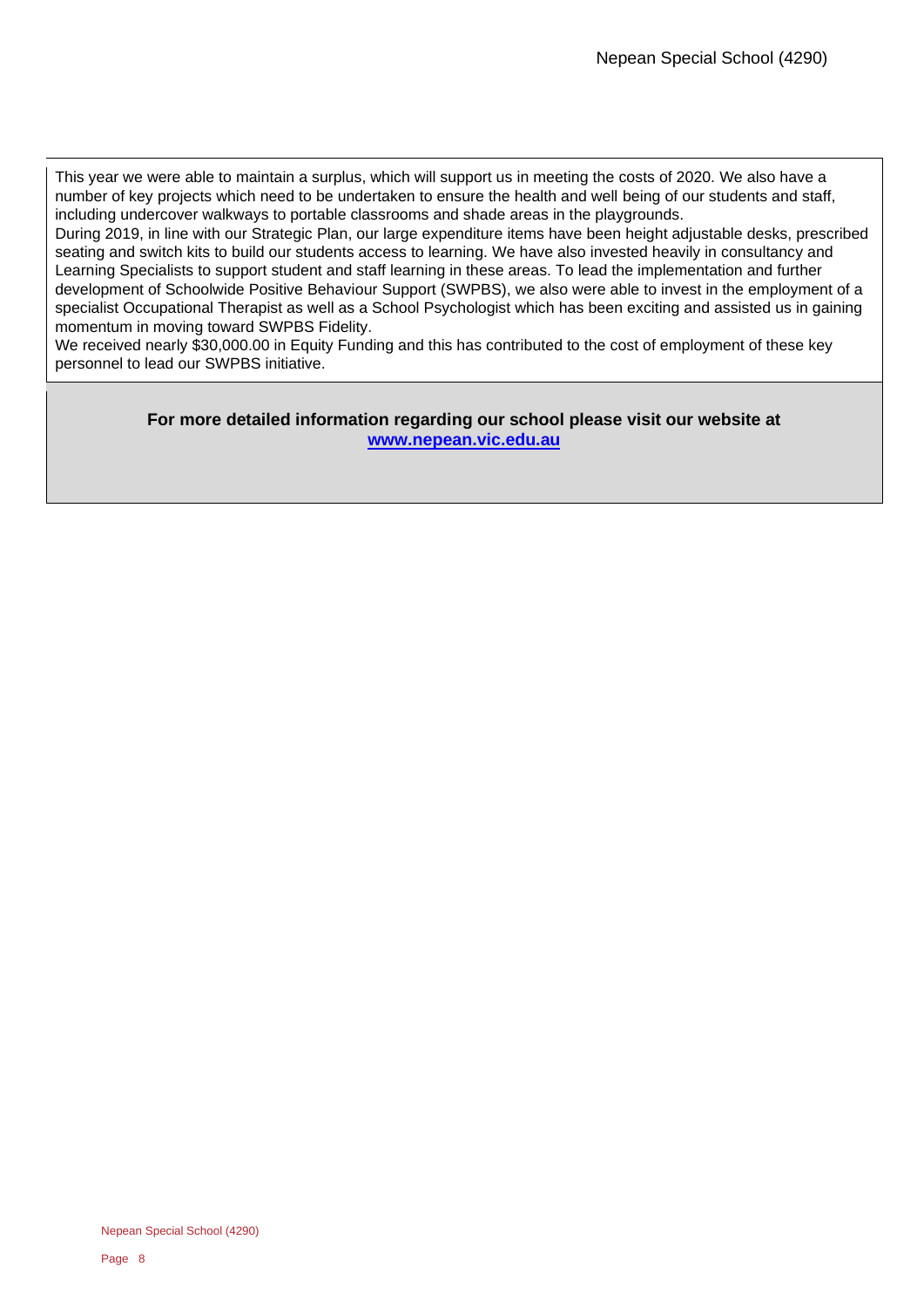This year we were able to maintain a surplus, which will support us in meeting the costs of 2020. We also have a number of key projects which need to be undertaken to ensure the health and well being of our students and staff, including undercover walkways to portable classrooms and shade areas in the playgrounds.

During 2019, in line with our Strategic Plan, our large expenditure items have been height adjustable desks, prescribed seating and switch kits to build our students access to learning. We have also invested heavily in consultancy and Learning Specialists to support student and staff learning in these areas. To lead the implementation and further development of Schoolwide Positive Behaviour Support (SWPBS), we also were able to invest in the employment of a specialist Occupational Therapist as well as a School Psychologist which has been exciting and assisted us in gaining momentum in moving toward SWPBS Fidelity.

We received nearly \$30,000.00 in Equity Funding and this has contributed to the cost of employment of these key personnel to lead our SWPBS initiative.

### **For more detailed information regarding our school please visit our website at <www.nepean.vic.edu.au>**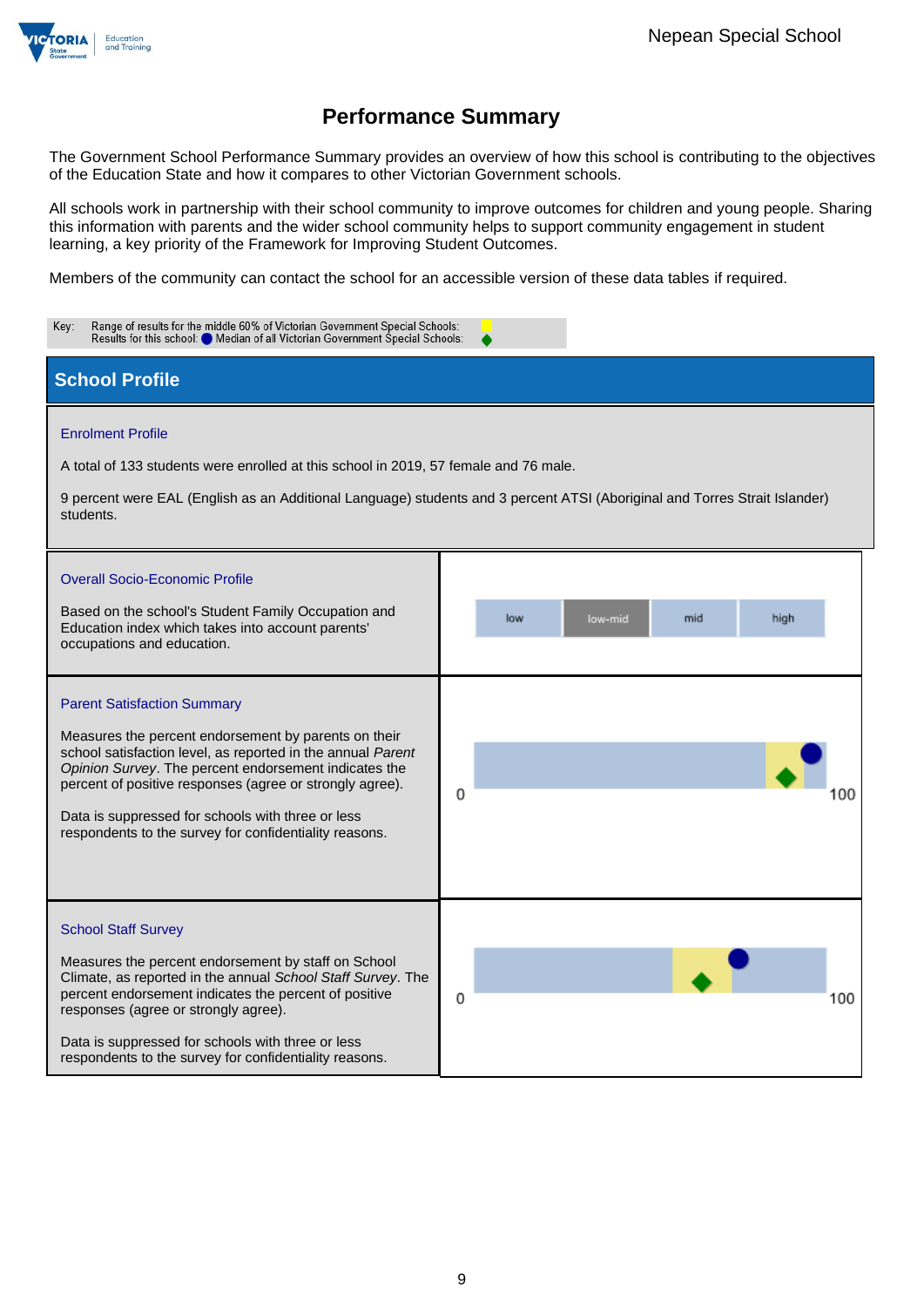

# **Performance Summary**

The Government School Performance Summary provides an overview of how this school is contributing to the objectives of the Education State and how it compares to other Victorian Government schools.

All schools work in partnership with their school community to improve outcomes for children and young people. Sharing this information with parents and the wider school community helps to support community engagement in student learning, a key priority of the Framework for Improving Student Outcomes.

Members of the community can contact the school for an accessible version of these data tables if required.

| Range of results for the middle 60% of Victorian Government Special Schools:<br>Key:<br>Results for this school: Median of all Victorian Government Special Schools:                                                                                                                                                                                                                          |                                                                                                                                                             |  |  |  |  |  |
|-----------------------------------------------------------------------------------------------------------------------------------------------------------------------------------------------------------------------------------------------------------------------------------------------------------------------------------------------------------------------------------------------|-------------------------------------------------------------------------------------------------------------------------------------------------------------|--|--|--|--|--|
| <b>School Profile</b>                                                                                                                                                                                                                                                                                                                                                                         |                                                                                                                                                             |  |  |  |  |  |
| <b>Enrolment Profile</b><br>A total of 133 students were enrolled at this school in 2019, 57 female and 76 male.<br>students.<br><b>Overall Socio-Economic Profile</b><br>Based on the school's Student Family Occupation and<br>Education index which takes into account parents'<br>occupations and education.                                                                              | 9 percent were EAL (English as an Additional Language) students and 3 percent ATSI (Aboriginal and Torres Strait Islander)<br>low<br>mid<br>high<br>low-mid |  |  |  |  |  |
| <b>Parent Satisfaction Summary</b><br>Measures the percent endorsement by parents on their<br>school satisfaction level, as reported in the annual Parent<br>Opinion Survey. The percent endorsement indicates the<br>percent of positive responses (agree or strongly agree).<br>Data is suppressed for schools with three or less<br>respondents to the survey for confidentiality reasons. | 0                                                                                                                                                           |  |  |  |  |  |
| <b>School Staff Survey</b><br>Measures the percent endorsement by staff on School<br>Climate, as reported in the annual School Staff Survey. The<br>percent endorsement indicates the percent of positive<br>responses (agree or strongly agree).<br>Data is suppressed for schools with three or less<br>respondents to the survey for confidentiality reasons.                              | 0<br>100                                                                                                                                                    |  |  |  |  |  |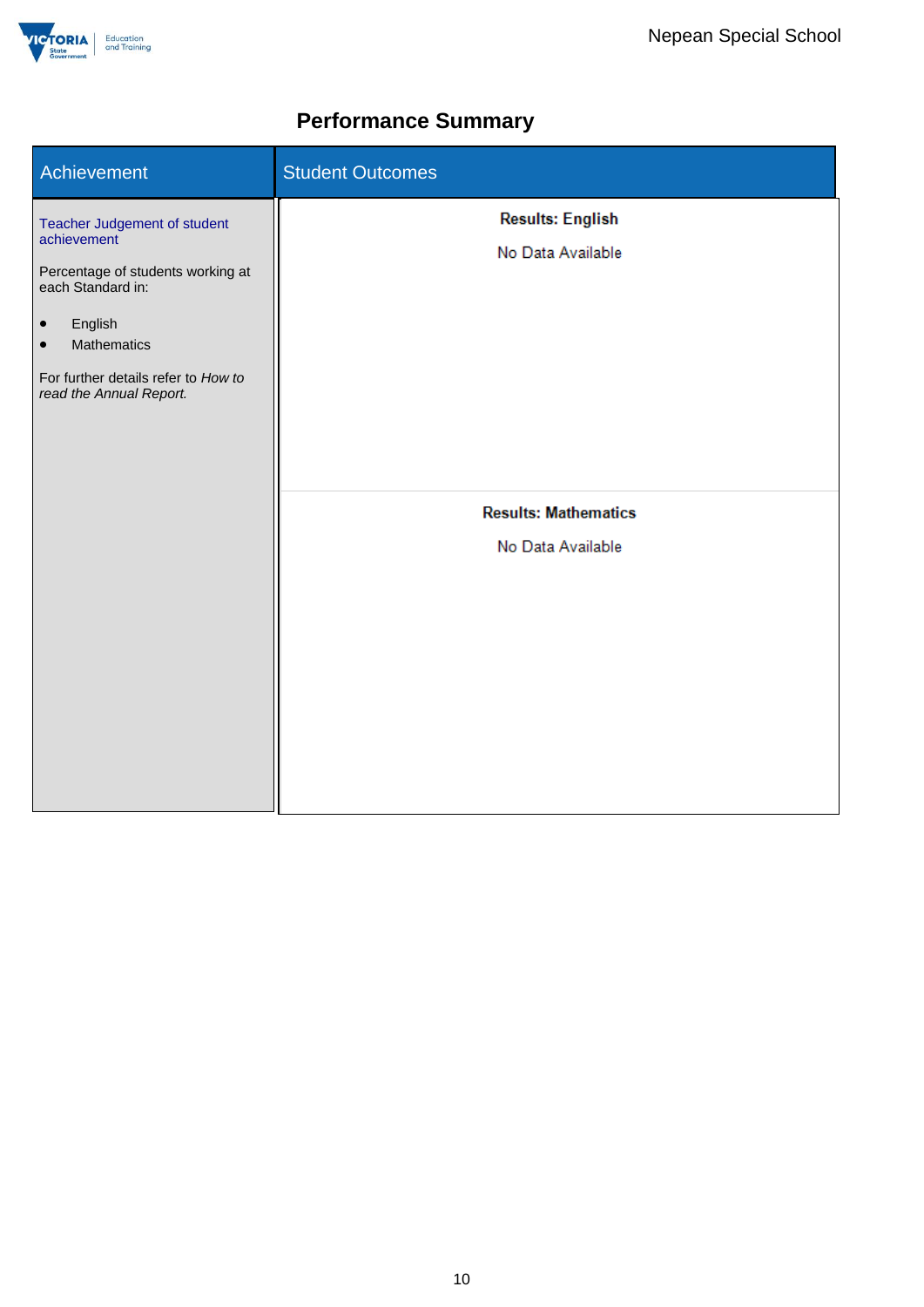

# **Performance Summary**

| Achievement                                                                                                                                                                                                                        | <b>Student Outcomes</b>                          |
|------------------------------------------------------------------------------------------------------------------------------------------------------------------------------------------------------------------------------------|--------------------------------------------------|
| Teacher Judgement of student<br>achievement<br>Percentage of students working at<br>each Standard in:<br>English<br>$\bullet$<br><b>Mathematics</b><br>$\bullet$<br>For further details refer to How to<br>read the Annual Report. | <b>Results: English</b><br>No Data Available     |
|                                                                                                                                                                                                                                    | <b>Results: Mathematics</b><br>No Data Available |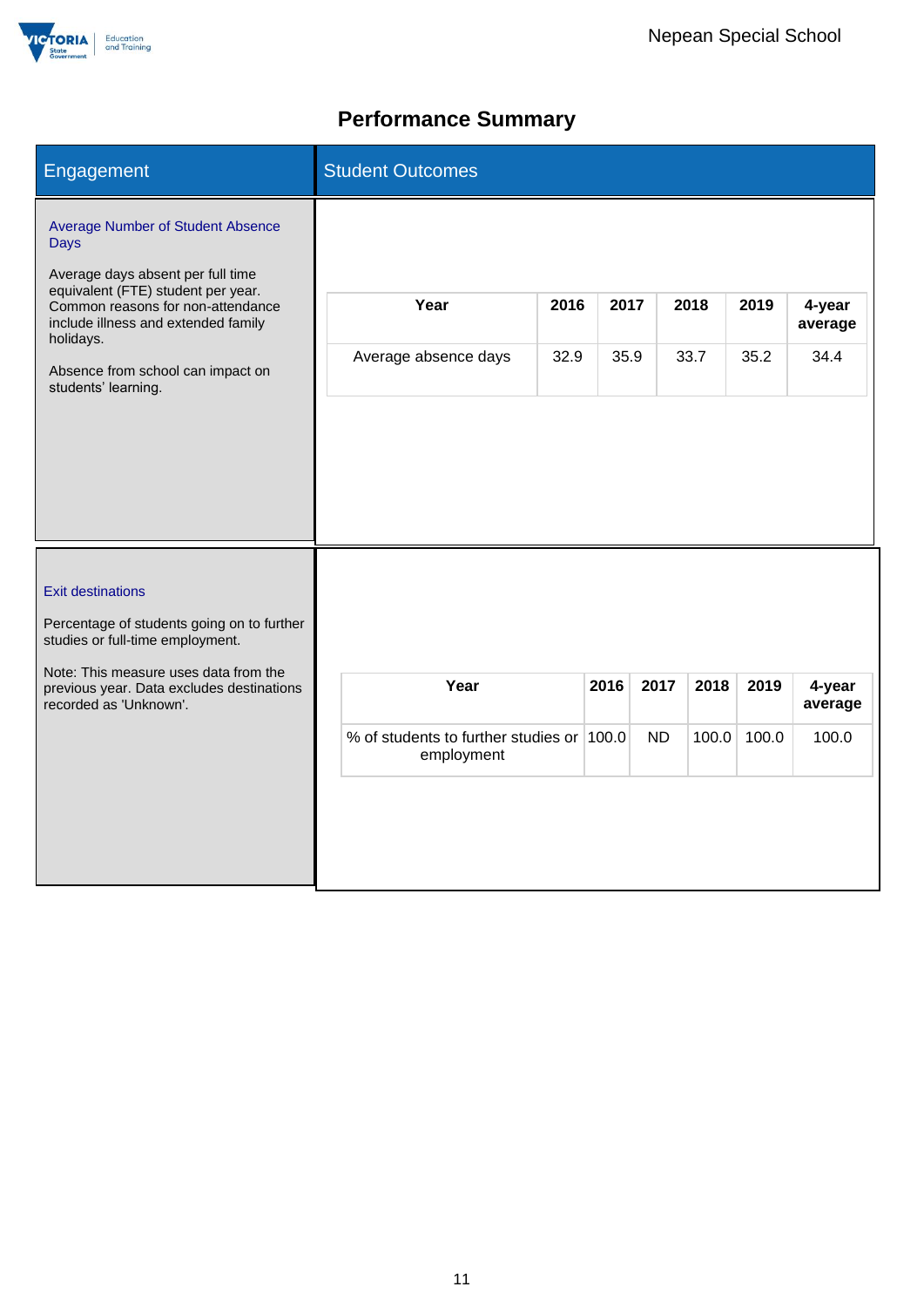

# **Performance Summary**

| Engagement                                                                                                                                                                                                                                                                              | <b>Student Outcomes</b>                                         |              |                   |               |               |                            |
|-----------------------------------------------------------------------------------------------------------------------------------------------------------------------------------------------------------------------------------------------------------------------------------------|-----------------------------------------------------------------|--------------|-------------------|---------------|---------------|----------------------------|
| <b>Average Number of Student Absence</b><br><b>Days</b><br>Average days absent per full time<br>equivalent (FTE) student per year.<br>Common reasons for non-attendance<br>include illness and extended family<br>holidays.<br>Absence from school can impact on<br>students' learning. | Year<br>2016<br>Average absence days<br>32.9                    | 2017<br>35.9 |                   | 2018<br>33.7  | 2019<br>35.2  | 4-year<br>average<br>34.4  |
| <b>Exit destinations</b><br>Percentage of students going on to further<br>studies or full-time employment.<br>Note: This measure uses data from the<br>previous year. Data excludes destinations<br>recorded as 'Unknown'.                                                              | Year<br>% of students to further studies or 100.0<br>employment | 2016         | 2017<br><b>ND</b> | 2018<br>100.0 | 2019<br>100.0 | 4-year<br>average<br>100.0 |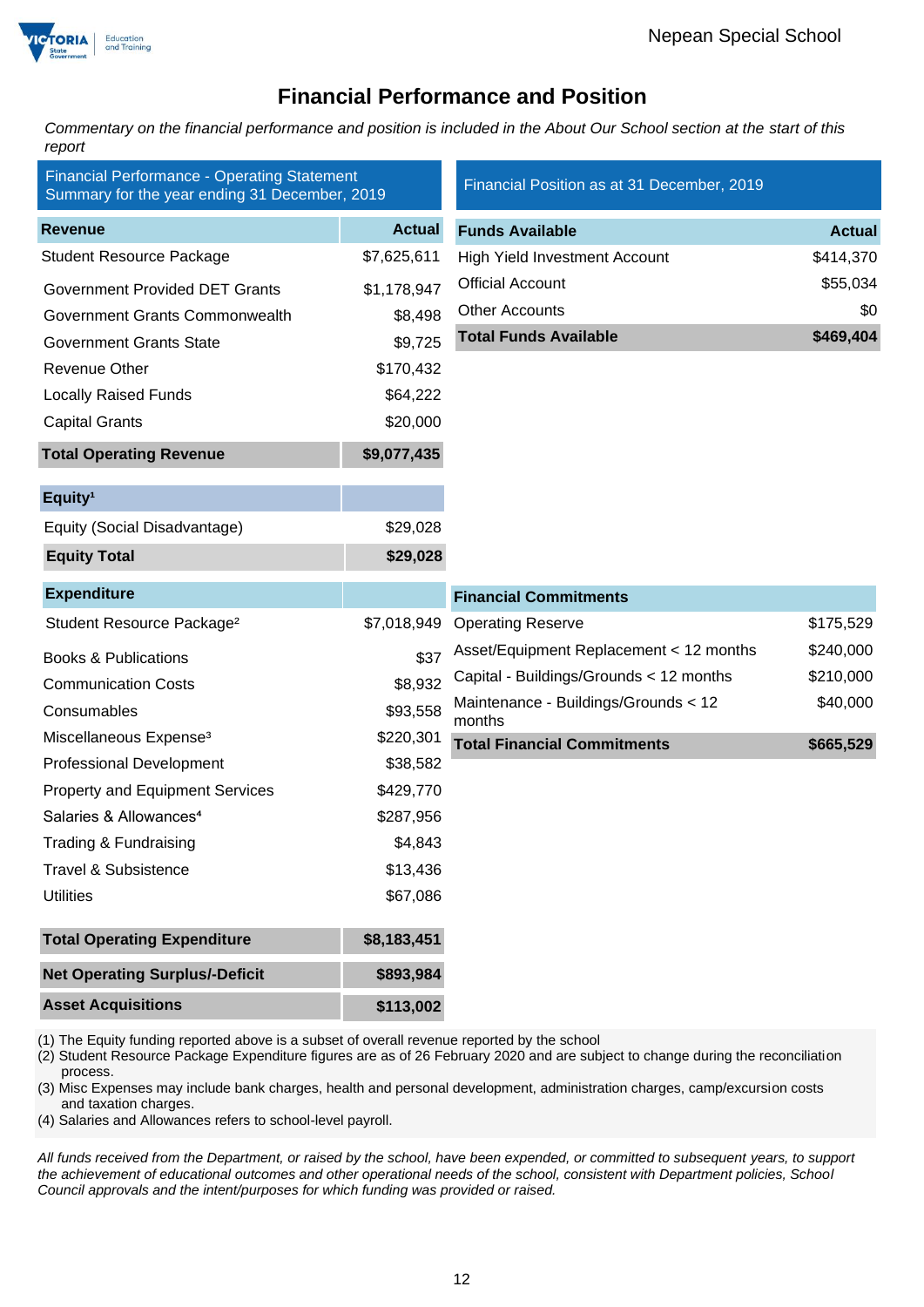

# **Financial Performance and Position**

*Commentary on the financial performance and position is included in the About Our School section at the start of this report*

| <b>Financial Performance - Operating Statement</b><br>Summary for the year ending 31 December, 2019 |               | Financial Position as at 31 December, 2019     |               |
|-----------------------------------------------------------------------------------------------------|---------------|------------------------------------------------|---------------|
| <b>Revenue</b>                                                                                      | <b>Actual</b> | <b>Funds Available</b>                         | <b>Actual</b> |
| <b>Student Resource Package</b>                                                                     | \$7,625,611   | <b>High Yield Investment Account</b>           | \$414,370     |
| <b>Government Provided DET Grants</b>                                                               | \$1,178,947   | <b>Official Account</b>                        | \$55,034      |
| Government Grants Commonwealth                                                                      | \$8,498       | <b>Other Accounts</b>                          | \$0           |
| <b>Government Grants State</b>                                                                      | \$9,725       | <b>Total Funds Available</b>                   | \$469,404     |
| <b>Revenue Other</b>                                                                                | \$170,432     |                                                |               |
| <b>Locally Raised Funds</b>                                                                         | \$64,222      |                                                |               |
| <b>Capital Grants</b>                                                                               | \$20,000      |                                                |               |
| <b>Total Operating Revenue</b>                                                                      | \$9,077,435   |                                                |               |
| Equity <sup>1</sup>                                                                                 |               |                                                |               |
| Equity (Social Disadvantage)                                                                        | \$29,028      |                                                |               |
| <b>Equity Total</b>                                                                                 | \$29,028      |                                                |               |
| <b>Expenditure</b>                                                                                  |               | <b>Financial Commitments</b>                   |               |
| Student Resource Package <sup>2</sup>                                                               | \$7,018,949   | <b>Operating Reserve</b>                       | \$175,529     |
| <b>Books &amp; Publications</b>                                                                     | \$37          | Asset/Equipment Replacement < 12 months        | \$240,000     |
| <b>Communication Costs</b>                                                                          | \$8,932       | Capital - Buildings/Grounds < 12 months        | \$210,000     |
| Consumables                                                                                         | \$93,558      | Maintenance - Buildings/Grounds < 12<br>months | \$40,000      |
| Miscellaneous Expense <sup>3</sup>                                                                  | \$220,301     | <b>Total Financial Commitments</b>             | \$665,529     |
| <b>Professional Development</b>                                                                     | \$38,582      |                                                |               |
| <b>Property and Equipment Services</b>                                                              | \$429,770     |                                                |               |
| Salaries & Allowances <sup>4</sup>                                                                  | \$287,956     |                                                |               |
| Trading & Fundraising                                                                               | \$4,843       |                                                |               |
| <b>Travel &amp; Subsistence</b>                                                                     | \$13,436      |                                                |               |
| <b>Utilities</b>                                                                                    | \$67,086      |                                                |               |
| <b>Total Operating Expenditure</b>                                                                  | \$8,183,451   |                                                |               |
| <b>Net Operating Surplus/-Deficit</b>                                                               | \$893,984     |                                                |               |
| <b>Asset Acquisitions</b>                                                                           | \$113,002     |                                                |               |

(1) The Equity funding reported above is a subset of overall revenue reported by the school

(2) Student Resource Package Expenditure figures are as of 26 February 2020 and are subject to change during the reconciliation process.

(3) Misc Expenses may include bank charges, health and personal development, administration charges, camp/excursion costs and taxation charges.

(4) Salaries and Allowances refers to school-level payroll.

*All funds received from the Department, or raised by the school, have been expended, or committed to subsequent years, to support the achievement of educational outcomes and other operational needs of the school, consistent with Department policies, School Council approvals and the intent/purposes for which funding was provided or raised.*